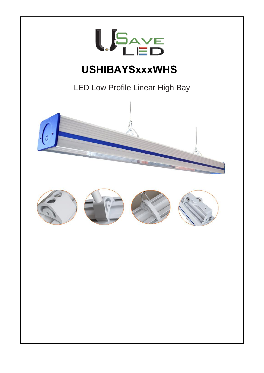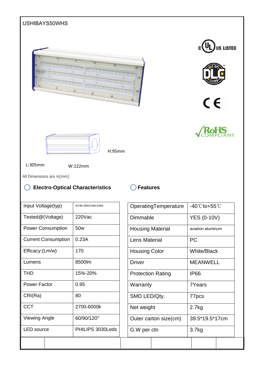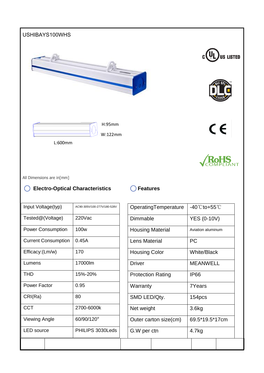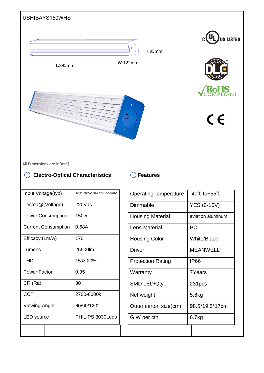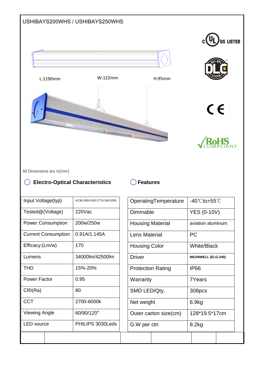

All Dimensions are in[mm]

## ◯ Electro-Optical Characteristics ◯ Features

| Input Voltage(typ)         | AC90-305V/100-277V/180-528V |  |
|----------------------------|-----------------------------|--|
| Tested@(Voltage)           | 220Vac                      |  |
| <b>Power Consumption</b>   | 200w/250w                   |  |
| <b>Current Consumption</b> | 0.91A/1.145A                |  |
| Efficacy:(Lm/w)            | 170                         |  |
| Lumens                     | 34000lm/42500lm             |  |
| <b>THD</b>                 | 15%-20%                     |  |
| <b>Power Factor</b>        | 0.95                        |  |
| CRI(Ra)                    | 80                          |  |
| <b>CCT</b>                 | 2700-6000k                  |  |
| <b>Viewing Angle</b>       | 60/90/120°                  |  |
| LED source                 | PHILIPS 3030Leds            |  |
|                            |                             |  |

|                          | OperatingTemperature |                           | -40℃to+55℃ |  |  |
|--------------------------|----------------------|---------------------------|------------|--|--|
| Dimmable                 |                      | <b>YES (0-10V)</b>        |            |  |  |
| <b>Housing Material</b>  |                      | aviation aluminum         |            |  |  |
| I ens Material           |                      | <b>PC</b>                 |            |  |  |
| <b>Housing Color</b>     |                      | <b>White/Black</b>        |            |  |  |
| <b>Driver</b>            |                      | <b>MEANWELL (ELG-240)</b> |            |  |  |
| <b>Protection Rating</b> |                      | <b>IP66</b>               |            |  |  |
| Warranty                 |                      | 7Years                    |            |  |  |
| SMD LED/Qty.             |                      | 308pcs                    |            |  |  |
| Net weight               |                      | 6.9kg                     |            |  |  |
| Outer carton size(cm)    |                      | 128*19.5*17cm             |            |  |  |
| G.W per ctn              |                      | 8.2kg                     |            |  |  |
|                          |                      |                           |            |  |  |